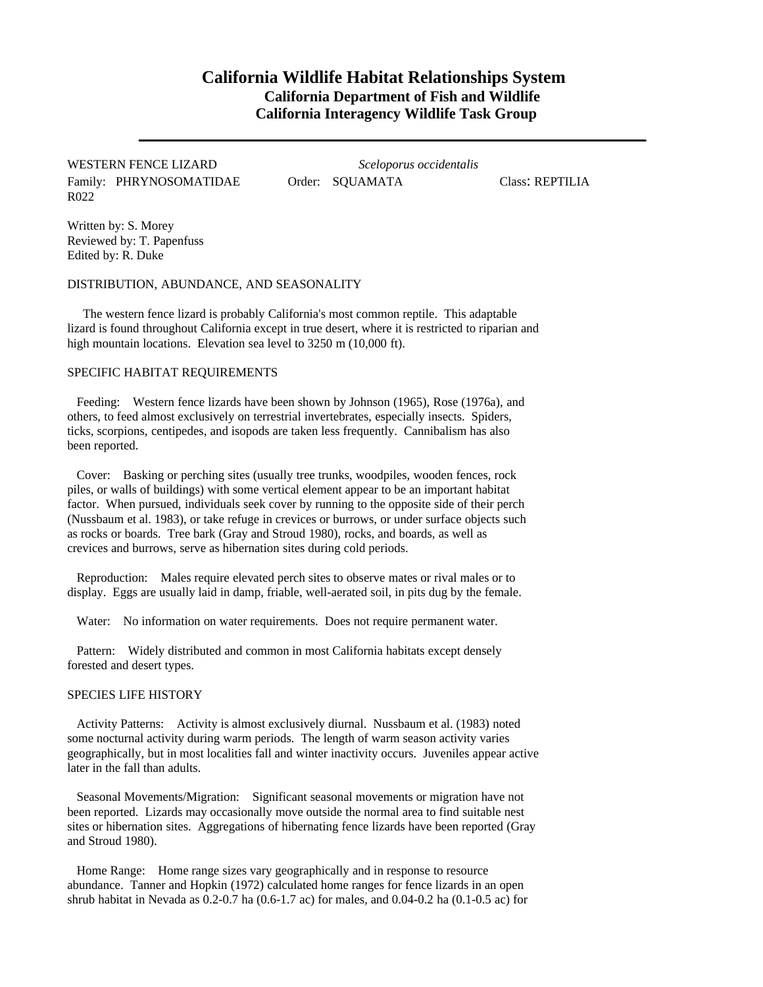## **California Wildlife Habitat Relationships System California Department of Fish and Wildlife California Interagency Wildlife Task Group**

WESTERN FENCE LIZARD *Sceloporus occidentalis* Family: PHRYNOSOMATIDAE Order: SQUAMATA Class: REPTILIA R022

Written by: S. Morey Reviewed by: T. Papenfuss Edited by: R. Duke

DISTRIBUTION, ABUNDANCE, AND SEASONALITY

The western fence lizard is probably California's most common reptile. This adaptable lizard is found throughout California except in true desert, where it is restricted to riparian and high mountain locations. Elevation sea level to 3250 m (10,000 ft).

## SPECIFIC HABITAT REQUIREMENTS

Feeding: Western fence lizards have been shown by Johnson (1965), Rose (1976a), and others, to feed almost exclusively on terrestrial invertebrates, especially insects. Spiders, ticks, scorpions, centipedes, and isopods are taken less frequently. Cannibalism has also been reported.

Cover: Basking or perching sites (usually tree trunks, woodpiles, wooden fences, rock piles, or walls of buildings) with some vertical element appear to be an important habitat factor. When pursued, individuals seek cover by running to the opposite side of their perch (Nussbaum et al. 1983), or take refuge in crevices or burrows, or under surface objects such as rocks or boards. Tree bark (Gray and Stroud 1980), rocks, and boards, as well as crevices and burrows, serve as hibernation sites during cold periods.

Reproduction: Males require elevated perch sites to observe mates or rival males or to display. Eggs are usually laid in damp, friable, well-aerated soil, in pits dug by the female.

Water: No information on water requirements. Does not require permanent water.

Pattern: Widely distributed and common in most California habitats except densely forested and desert types.

## SPECIES LIFE HISTORY

Activity Patterns: Activity is almost exclusively diurnal. Nussbaum et al. (1983) noted some nocturnal activity during warm periods. The length of warm season activity varies geographically, but in most localities fall and winter inactivity occurs. Juveniles appear active later in the fall than adults.

Seasonal Movements/Migration: Significant seasonal movements or migration have not been reported. Lizards may occasionally move outside the normal area to find suitable nest sites or hibernation sites. Aggregations of hibernating fence lizards have been reported (Gray and Stroud 1980).

Home Range: Home range sizes vary geographically and in response to resource abundance. Tanner and Hopkin (1972) calculated home ranges for fence lizards in an open shrub habitat in Nevada as 0.2-0.7 ha (0.6-1.7 ac) for males, and 0.04-0.2 ha (0.1-0.5 ac) for